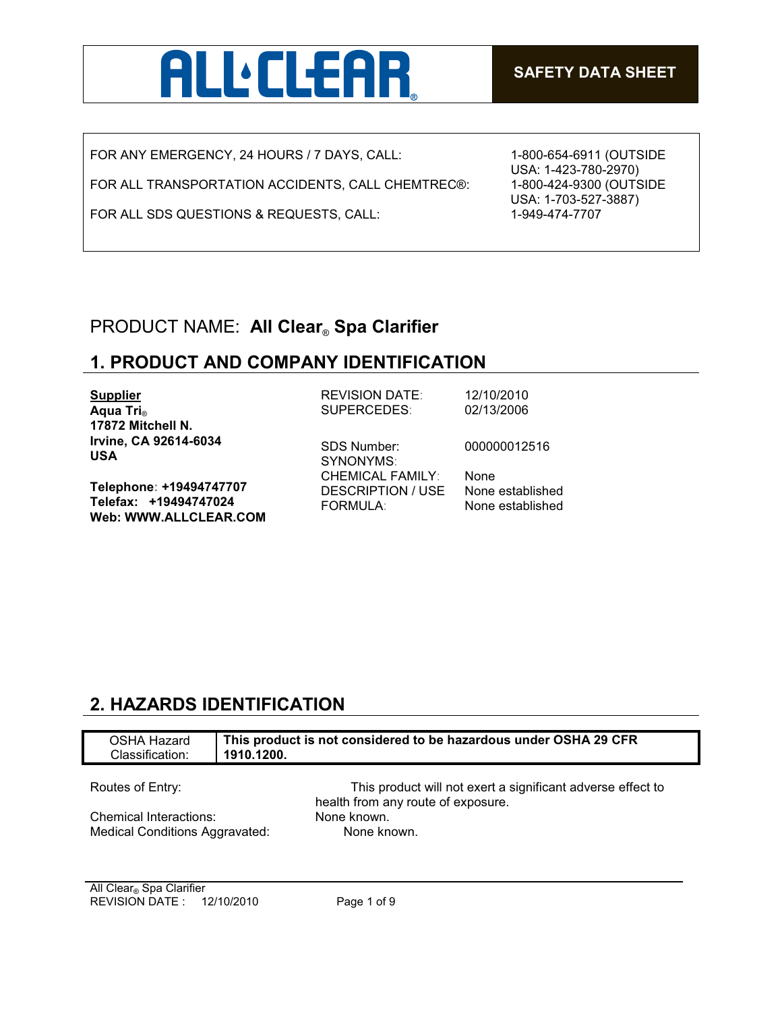

FOR ANY EMERGENCY, 24 HOURS / 7 DAYS, CALL:

FOR ALL TRANSPORTATION ACCIDENTS, CALL CHEMTREC®:

FOR ALL SDS QUESTIONS & REQUESTS, CALL:

1-800-654-6911 (OUTSIDE USA: 1-423-780-2970) 1-800-424-9300 (OUTSIDE USA: 1-703-527-3887) 1-949-474-7707

## PRODUCT NAME: **All Clear**® **Spa Clarifier**

## **1. PRODUCT AND COMPANY IDENTIFICATION**

| <b>Supplier</b>                                                                  | <b>REVISION DATE:</b>                                      | 12/10/2010                           |
|----------------------------------------------------------------------------------|------------------------------------------------------------|--------------------------------------|
| Aqua Tri <sub>®</sub>                                                            | SUPERCEDES:                                                | 02/13/2006                           |
| 17872 Mitchell N.                                                                |                                                            |                                      |
| Irvine, CA 92614-6034<br><b>USA</b>                                              | <b>SDS Number:</b><br>SYNONYMS:<br><b>CHEMICAL FAMILY:</b> | 000000012516<br>None                 |
| Telephone: +19494747707<br>Telefax: +19494747024<br><b>Web: WWW.ALLCLEAR.COM</b> | <b>DESCRIPTION / USE</b><br><b>FORMULA:</b>                | None established<br>None established |

## **2. HAZARDS IDENTIFICATION**

| OSHA Hazard                    | This product is not considered to be hazardous under OSHA 29 CFR                                  |
|--------------------------------|---------------------------------------------------------------------------------------------------|
| Classification:                | 1910.1200.                                                                                        |
| Routes of Entry:               | This product will not exert a significant adverse effect to<br>health from any route of exposure. |
| Chemical Interactions:         | None known.                                                                                       |
| Medical Conditions Aggravated: | None known.                                                                                       |
|                                |                                                                                                   |

All Clear<sub>®</sub> Spa Clarifier REVISION DATE : 12/10/2010 Page 1 of 9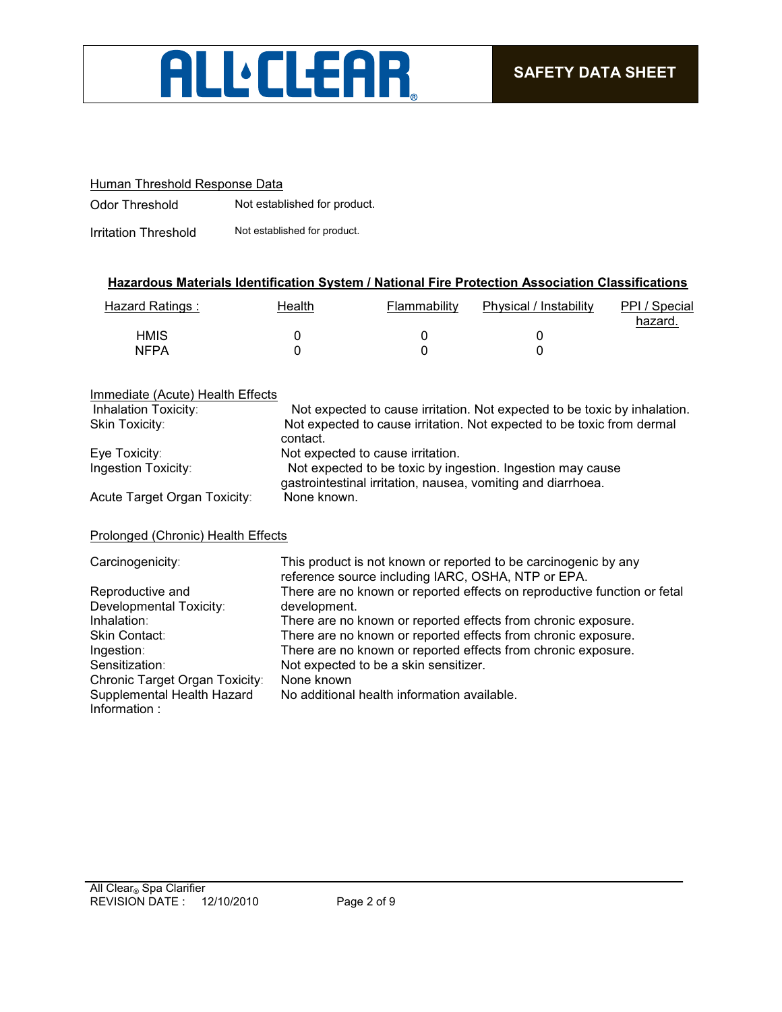

#### Human Threshold Response Data

Odor Threshold Not established for product.

Irritation Threshold Not established for product.

#### **Hazardous Materials Identification System / National Fire Protection Association Classifications**

| Hazard Ratings : | Health | Flammability | Physical / Instability | PPI / Special<br>hazard. |
|------------------|--------|--------------|------------------------|--------------------------|
| <b>HMIS</b>      |        |              |                        |                          |
| <b>NFPA</b>      |        |              |                        |                          |

#### Immediate (Acute) Health Effects<br>Inhalation Toxicity: Not expected to cause irritation. Not expected to be toxic by inhalation. Skin Toxicity: Not expected to cause irritation. Not expected to be toxic from dermal contact. Eye Toxicity: The State of Not expected to cause irritation. Ingestion Toxicity: Not expected to be toxic by ingestion. Ingestion may cause gastrointestinal irritation, nausea, vomiting and diarrhoea. Acute Target Organ Toxicity: None known.

#### Prolonged (Chronic) Health Effects

| Carcinogenicity:                           | This product is not known or reported to be carcinogenic by any<br>reference source including IARC, OSHA, NTP or EPA. |
|--------------------------------------------|-----------------------------------------------------------------------------------------------------------------------|
| Reproductive and                           | There are no known or reported effects on reproductive function or fetal                                              |
| Developmental Toxicity:                    | development.                                                                                                          |
| Inhalation:                                | There are no known or reported effects from chronic exposure.                                                         |
| Skin Contact:                              | There are no known or reported effects from chronic exposure.                                                         |
| Ingestion:                                 | There are no known or reported effects from chronic exposure.                                                         |
| Sensitization:                             | Not expected to be a skin sensitizer.                                                                                 |
| Chronic Target Organ Toxicity:             | None known                                                                                                            |
| Supplemental Health Hazard<br>Information: | No additional health information available.                                                                           |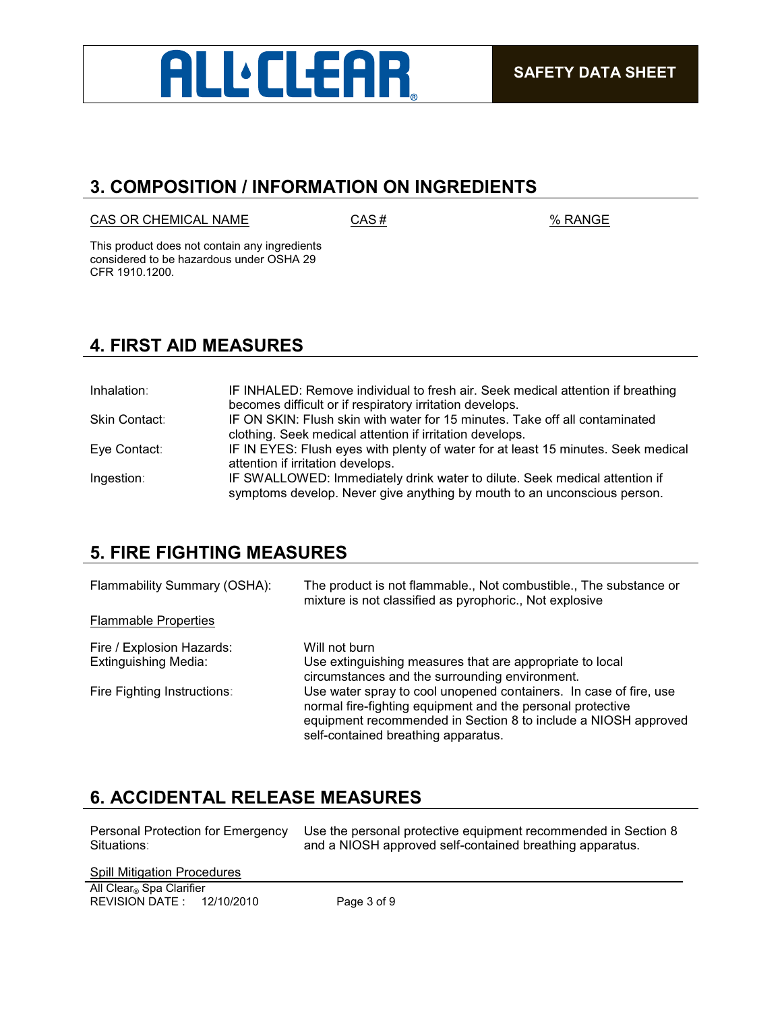

## **3. COMPOSITION / INFORMATION ON INGREDIENTS**

 $CAS OR CHEMICAL NAME$   $CAS #$   $% RANGE$ 

This product does not contain any ingredients considered to be hazardous under OSHA 29 CFR 1910.1200.

## **4. FIRST AID MEASURES**

| Inhalation:   | IF INHALED: Remove individual to fresh air. Seek medical attention if breathing                                                                        |
|---------------|--------------------------------------------------------------------------------------------------------------------------------------------------------|
|               | becomes difficult or if respiratory irritation develops.                                                                                               |
| Skin Contact: | IF ON SKIN: Flush skin with water for 15 minutes. Take off all contaminated                                                                            |
|               | clothing. Seek medical attention if irritation develops.                                                                                               |
| Eye Contact:  | IF IN EYES: Flush eyes with plenty of water for at least 15 minutes. Seek medical<br>attention if irritation develops.                                 |
| Ingestion:    | IF SWALLOWED: Immediately drink water to dilute. Seek medical attention if<br>symptoms develop. Never give anything by mouth to an unconscious person. |

## **5. FIRE FIGHTING MEASURES**

| Flammability Summary (OSHA): | The product is not flammable., Not combustible., The substance or<br>mixture is not classified as pyrophoric., Not explosive                                                                                                             |
|------------------------------|------------------------------------------------------------------------------------------------------------------------------------------------------------------------------------------------------------------------------------------|
| <b>Flammable Properties</b>  |                                                                                                                                                                                                                                          |
| Fire / Explosion Hazards:    | Will not burn                                                                                                                                                                                                                            |
| <b>Extinguishing Media:</b>  | Use extinguishing measures that are appropriate to local<br>circumstances and the surrounding environment.                                                                                                                               |
| Fire Fighting Instructions:  | Use water spray to cool unopened containers. In case of fire, use<br>normal fire-fighting equipment and the personal protective<br>equipment recommended in Section 8 to include a NIOSH approved<br>self-contained breathing apparatus. |

## **6. ACCIDENTAL RELEASE MEASURES**

| Personal Protection for Emergency | Use the personal protective equipment recommended in Section 8 |
|-----------------------------------|----------------------------------------------------------------|
| Situations:                       | and a NIOSH approved self-contained breathing apparatus.       |

| <b>Spill Mitigation Procedures</b> |             |
|------------------------------------|-------------|
| All Clear® Spa Clarifier           |             |
| REVISION DATE: 12/10/2010          | Page 3 of 9 |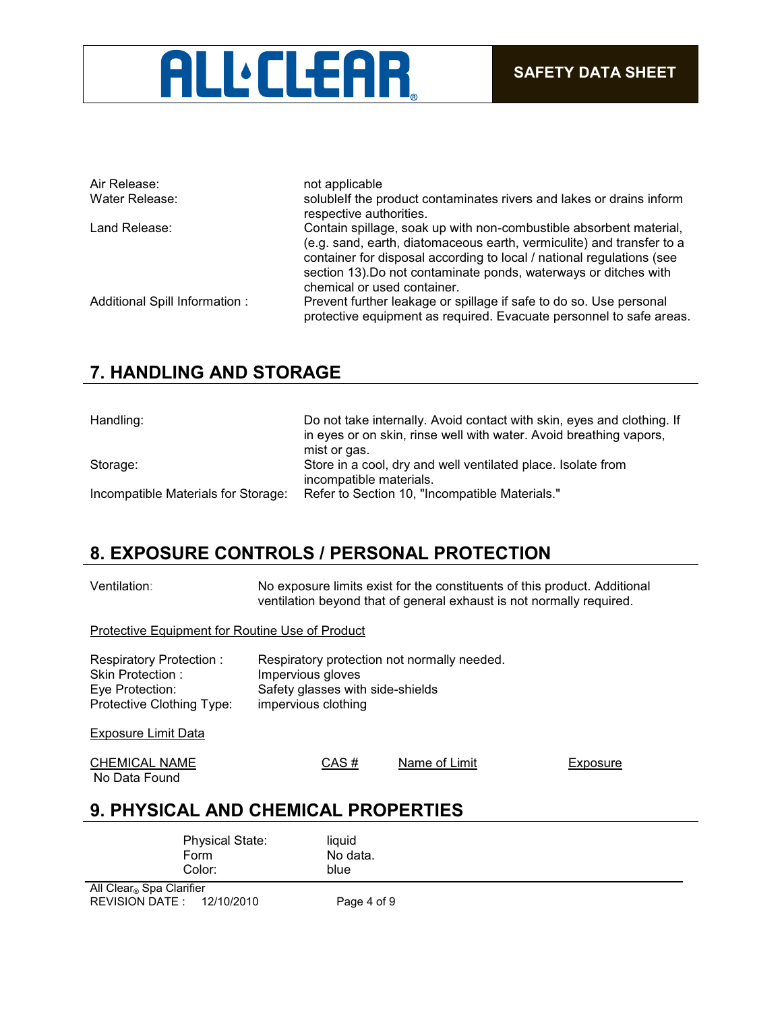

| Air Release:                   | not applicable                                                                                                                                                                                                                                                                                                          |
|--------------------------------|-------------------------------------------------------------------------------------------------------------------------------------------------------------------------------------------------------------------------------------------------------------------------------------------------------------------------|
| Water Release:                 | solublelf the product contaminates rivers and lakes or drains inform<br>respective authorities.                                                                                                                                                                                                                         |
| Land Release:                  | Contain spillage, soak up with non-combustible absorbent material,<br>(e.g. sand, earth, diatomaceous earth, vermiculite) and transfer to a<br>container for disposal according to local / national regulations (see<br>section 13). Do not contaminate ponds, waterways or ditches with<br>chemical or used container. |
| Additional Spill Information : | Prevent further leakage or spillage if safe to do so. Use personal<br>protective equipment as required. Evacuate personnel to safe areas.                                                                                                                                                                               |

## **7. HANDLING AND STORAGE**

| Handling:                           | Do not take internally. Avoid contact with skin, eyes and clothing. If<br>in eyes or on skin, rinse well with water. Avoid breathing vapors,<br>mist or gas. |
|-------------------------------------|--------------------------------------------------------------------------------------------------------------------------------------------------------------|
| Storage:                            | Store in a cool, dry and well ventilated place. Isolate from                                                                                                 |
|                                     | incompatible materials.                                                                                                                                      |
| Incompatible Materials for Storage: | Refer to Section 10, "Incompatible Materials."                                                                                                               |

## **8. EXPOSURE CONTROLS / PERSONAL PROTECTION**

Ventilation: No exposure limits exist for the constituents of this product. Additional ventilation beyond that of general exhaust is not normally required.

#### Protective Equipment for Routine Use of Product

| Respiratory Protection:<br>Skin Protection:<br>Eye Protection:<br>Protective Clothing Type: | Respiratory protection not normally needed.<br>Impervious gloves<br>Safety glasses with side-shields<br>impervious clothing |               |  |          |
|---------------------------------------------------------------------------------------------|-----------------------------------------------------------------------------------------------------------------------------|---------------|--|----------|
| Exposure Limit Data                                                                         |                                                                                                                             |               |  |          |
| <b>CHEMICAL NAME</b><br>No Data Found                                                       | CAS#                                                                                                                        | Name of Limit |  | Exposure |

## **9. PHYSICAL AND CHEMICAL PROPERTIES**

| <b>Physical State:</b><br>Form<br>Color: | liquid<br>No data.<br>blue |
|------------------------------------------|----------------------------|
| All Clear® Spa Clarifier                 |                            |
| REVISION DATE: 12/10/2010                | Page 4 of 9                |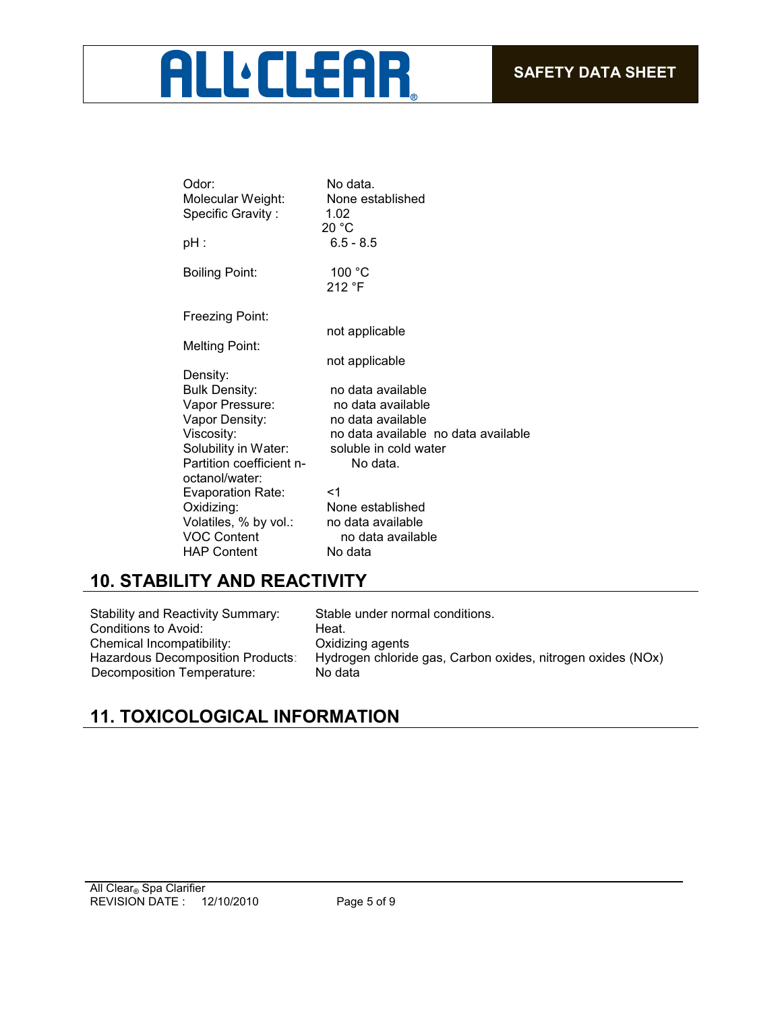# **ALL'ELEAR**

| Odor:                    | No data.                            |
|--------------------------|-------------------------------------|
| Molecular Weight:        | None established                    |
| Specific Gravity:        | 1.02                                |
|                          | 20 °C                               |
| pH :                     | $6.5 - 8.5$                         |
| <b>Boiling Point:</b>    | 100 °C                              |
|                          | 212 °F                              |
| Freezing Point:          |                                     |
|                          | not applicable                      |
| <b>Melting Point:</b>    |                                     |
|                          | not applicable                      |
| Density:                 |                                     |
| <b>Bulk Density:</b>     | no data available                   |
| Vapor Pressure:          | no data available                   |
| Vapor Density:           | no data available                   |
| Viscosity:               | no data available no data available |
| Solubility in Water:     | soluble in cold water               |
| Partition coefficient n- | No data.                            |
| octanol/water:           |                                     |
| <b>Evaporation Rate:</b> | $<$ 1                               |
| Oxidizing:               | None established                    |
| Volatiles, % by vol.:    | no data available                   |
| <b>VOC Content</b>       | no data available                   |
| <b>HAP Content</b>       | No data                             |

## **10. STABILITY AND REACTIVITY**

Stability and Reactivity Summary: Stable under normal conditions. Conditions to Avoid: Heat. Chemical Incompatibility: Oxidizing agents<br>Hazardous Decomposition Products: Hydrogen chlorid Decomposition Temperature:

Hydrogen chloride gas, Carbon oxides, nitrogen oxides (NOx)<br>No data

## **11. TOXICOLOGICAL INFORMATION**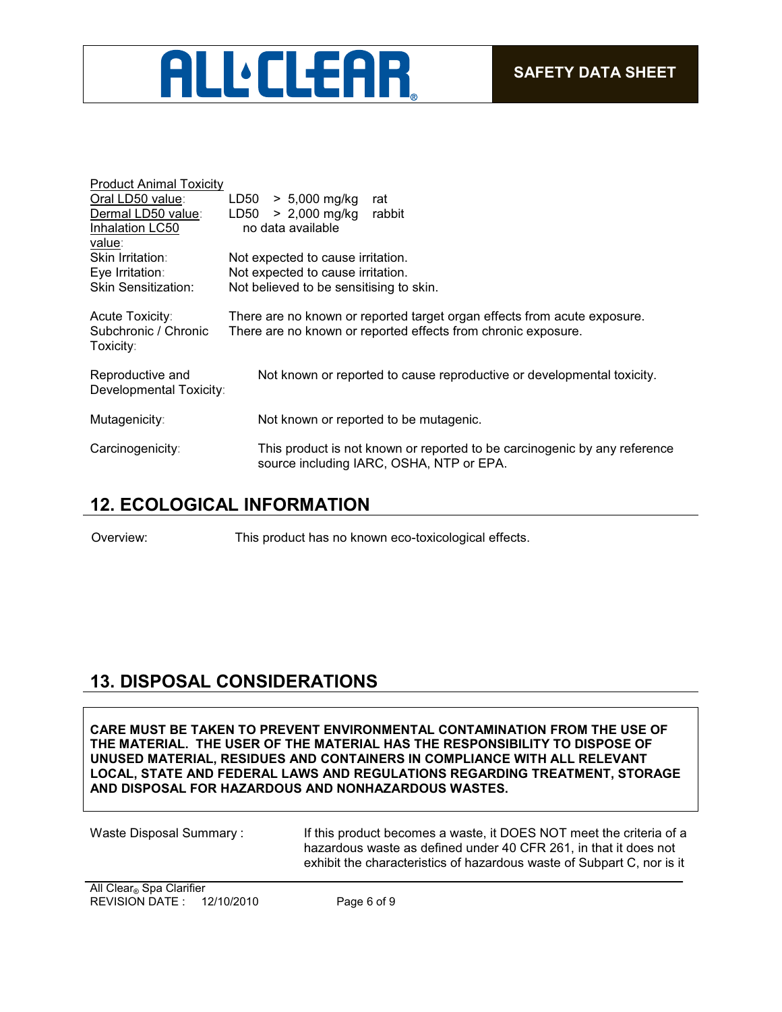

| <b>Product Animal Toxicity</b> |                                                                           |
|--------------------------------|---------------------------------------------------------------------------|
| Oral LD50 value:               | $> 5,000$ mg/kg<br>LD50<br>rat                                            |
| Dermal LD50 value:             | $> 2,000$ mg/kg<br>LD50<br>rabbit                                         |
| Inhalation LC50                | no data available                                                         |
| value:                         |                                                                           |
| Skin Irritation:               | Not expected to cause irritation.                                         |
| Eye Irritation:                | Not expected to cause irritation.                                         |
| <b>Skin Sensitization:</b>     | Not believed to be sensitising to skin.                                   |
|                                |                                                                           |
| Acute Toxicity:                | There are no known or reported target organ effects from acute exposure.  |
| Subchronic / Chronic           | There are no known or reported effects from chronic exposure.             |
| Toxicity∶                      |                                                                           |
|                                |                                                                           |
| Reproductive and               | Not known or reported to cause reproductive or developmental toxicity.    |
| Developmental Toxicity:        |                                                                           |
| Mutagenicity:                  | Not known or reported to be mutagenic.                                    |
|                                |                                                                           |
| Carcinogenicity:               | This product is not known or reported to be carcinogenic by any reference |
|                                | source including IARC, OSHA, NTP or EPA.                                  |
|                                |                                                                           |

## **12. ECOLOGICAL INFORMATION**

Overview: This product has no known eco-toxicological effects.

## **13. DISPOSAL CONSIDERATIONS**

**CARE MUST BE TAKEN TO PREVENT ENVIRONMENTAL CONTAMINATION FROM THE USE OF THE MATERIAL. THE USER OF THE MATERIAL HAS THE RESPONSIBILITY TO DISPOSE OF UNUSED MATERIAL, RESIDUES AND CONTAINERS IN COMPLIANCE WITH ALL RELEVANT LOCAL, STATE AND FEDERAL LAWS AND REGULATIONS REGARDING TREATMENT, STORAGE AND DISPOSAL FOR HAZARDOUS AND NONHAZARDOUS WASTES.** 

Waste Disposal Summary : If this product becomes a waste, it DOES NOT meet the criteria of a hazardous waste as defined under 40 CFR 261, in that it does not exhibit the characteristics of hazardous waste of Subpart C, nor is it

REVISION DATE : 12/10/2010 Page 6 of 9 All Clear<sub>®</sub> Spa Clarifier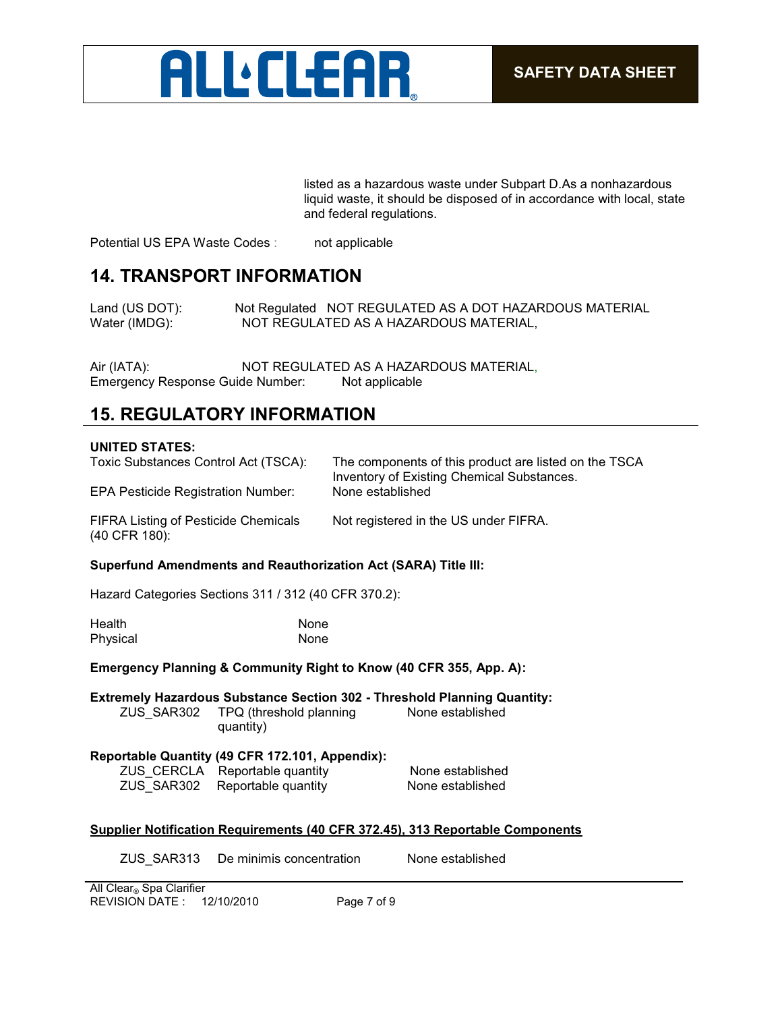

listed as a hazardous waste under Subpart D.As a nonhazardous liquid waste, it should be disposed of in accordance with local, state and federal regulations.

Potential US EPA Waste Codes : not applicable

#### **14. TRANSPORT INFORMATION**

Land (US DOT): Not Regulated NOT REGULATED AS A DOT HAZARDOUS MATERIAL Water (IMDG): NOT REGULATED AS A HAZARDOUS MATERIAL,

Air (IATA): NOT REGULATED AS A HAZARDOUS MATERIAL, Emergency Response Guide Number: Not applicable

## **15. REGULATORY INFORMATION**

#### **UNITED STATES:**

| <b>EPA Pesticide Registration Number:</b><br><b>FIFRA Listing of Pesticide Chemicals</b> | Inventory of Existing Chemical Substances.<br>None established<br>Not registered in the US under FIFRA. |
|------------------------------------------------------------------------------------------|---------------------------------------------------------------------------------------------------------|
| (40 CFR 180):<br><b>Superfund Amendments and Reauthorization Act (SARA) Title III:</b>   |                                                                                                         |

#### Hazard Categories Sections 311 / 312 (40 CFR 370.2):

| Health   | None |
|----------|------|
| Physical | None |

**Emergency Planning & Community Right to Know (40 CFR 355, App. A):**

**Extremely Hazardous Substance Section 302 - Threshold Planning Quantity:** ZUS\_SAR302 TPQ (threshold planning quantity) None established

#### **Reportable Quantity (49 CFR 172.101, Appendix):**

|  | ZUS_CERCLA Reportable quantity | None established |
|--|--------------------------------|------------------|
|  | ZUS_SAR302 Reportable quantity | None established |

#### **Supplier Notification Requirements (40 CFR 372.45), 313 Reportable Components**

ZUS\_SAR313 De minimis concentration None established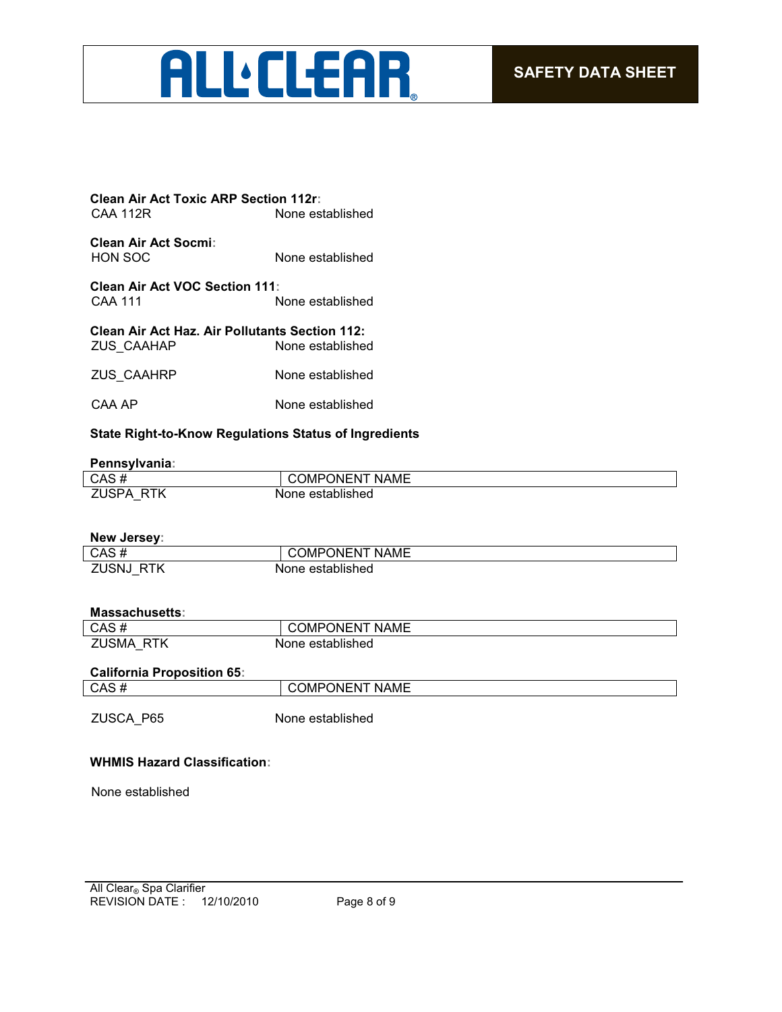## **ALL** CLEAR

| <b>Clean Air Act Toxic ARP Section 112r:</b> |                  |
|----------------------------------------------|------------------|
| CAA 112R                                     | None established |

**Clean Air Act Socmi:** None established

**Clean Air Act VOC Section 111:** None established

| <b>Clean Air Act Haz. Air Pollutants Section 112:</b> |                  |
|-------------------------------------------------------|------------------|
| ZUS CAAHAP                                            | None established |
|                                                       |                  |

- ZUS\_CAAHRP None established
- CAA AP None established

#### **State Right-to-Know Regulations Status of Ingredients**

#### **Pennsylvania:**

| CAS#           | PONENT<br><b>NAME</b><br>⊸∪MP′ ` |
|----------------|----------------------------------|
| 7I ISPA<br>DTK | established<br>None              |

| New Jersey: |                       |
|-------------|-----------------------|
| CAS#        | <b>COMPONENT NAME</b> |
| ZUSNJ RTK   | None established      |

#### **Massachusetts:**

| CAS#                | <b>NAME</b><br>COMPONENT |
|---------------------|--------------------------|
| <b>ZUSMA</b><br>RTK | None established         |

#### **California Proposition 65:**

| CAS | <b>NAME</b><br>$\overline{\phantom{a}}$<br>JМ<br>∋N⊩<br>·N. |
|-----|-------------------------------------------------------------|
|     |                                                             |

ZUSCA\_P65 None established

#### **WHMIS Hazard Classification:**

None established